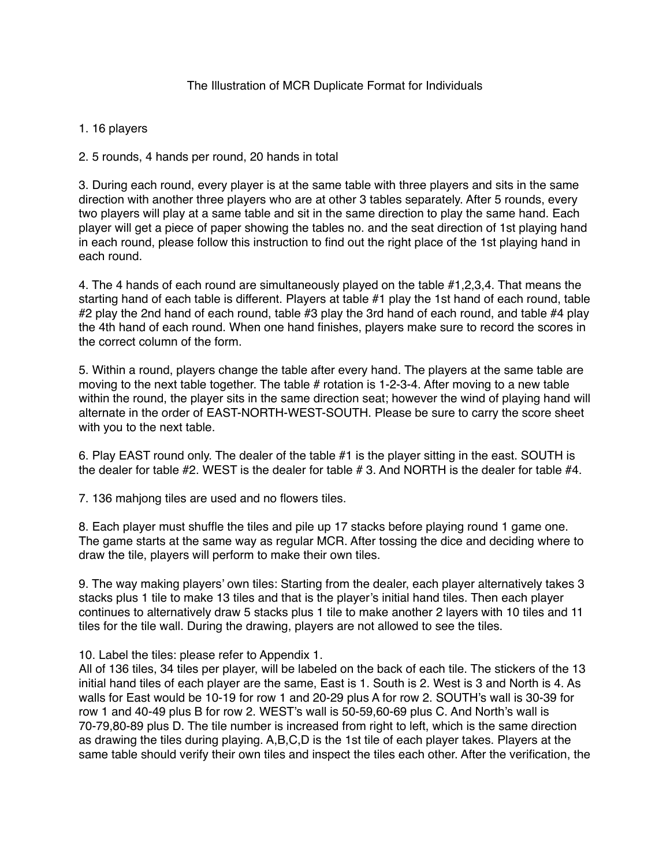## 1. 16 players

2. 5 rounds, 4 hands per round, 20 hands in total

3. During each round, every player is at the same table with three players and sits in the same direction with another three players who are at other 3 tables separately. After 5 rounds, every two players will play at a same table and sit in the same direction to play the same hand. Each player will get a piece of paper showing the tables no. and the seat direction of 1st playing hand in each round, please follow this instruction to find out the right place of the 1st playing hand in each round.

4. The 4 hands of each round are simultaneously played on the table #1,2,3,4. That means the starting hand of each table is different. Players at table #1 play the 1st hand of each round, table #2 play the 2nd hand of each round, table #3 play the 3rd hand of each round, and table #4 play the 4th hand of each round. When one hand finishes, players make sure to record the scores in the correct column of the form.

5. Within a round, players change the table after every hand. The players at the same table are moving to the next table together. The table # rotation is 1-2-3-4. After moving to a new table within the round, the player sits in the same direction seat; however the wind of playing hand will alternate in the order of EAST-NORTH-WEST-SOUTH. Please be sure to carry the score sheet with you to the next table.

6. Play EAST round only. The dealer of the table #1 is the player sitting in the east. SOUTH is the dealer for table #2. WEST is the dealer for table # 3. And NORTH is the dealer for table #4.

7. 136 mahjong tiles are used and no flowers tiles.

8. Each player must shuffle the tiles and pile up 17 stacks before playing round 1 game one. The game starts at the same way as regular MCR. After tossing the dice and deciding where to draw the tile, players will perform to make their own tiles.

9. The way making players' own tiles: Starting from the dealer, each player alternatively takes 3 stacks plus 1 tile to make 13 tiles and that is the player's initial hand tiles. Then each player continues to alternatively draw 5 stacks plus 1 tile to make another 2 layers with 10 tiles and 11 tiles for the tile wall. During the drawing, players are not allowed to see the tiles.

10. Label the tiles: please refer to Appendix 1.

All of 136 tiles, 34 tiles per player, will be labeled on the back of each tile. The stickers of the 13 initial hand tiles of each player are the same, East is 1. South is 2. West is 3 and North is 4. As walls for East would be 10-19 for row 1 and 20-29 plus A for row 2. SOUTH's wall is 30-39 for row 1 and 40-49 plus B for row 2. WEST's wall is 50-59,60-69 plus C. And North's wall is 70-79,80-89 plus D. The tile number is increased from right to left, which is the same direction as drawing the tiles during playing. A,B,C,D is the 1st tile of each player takes. Players at the same table should verify their own tiles and inspect the tiles each other. After the verification, the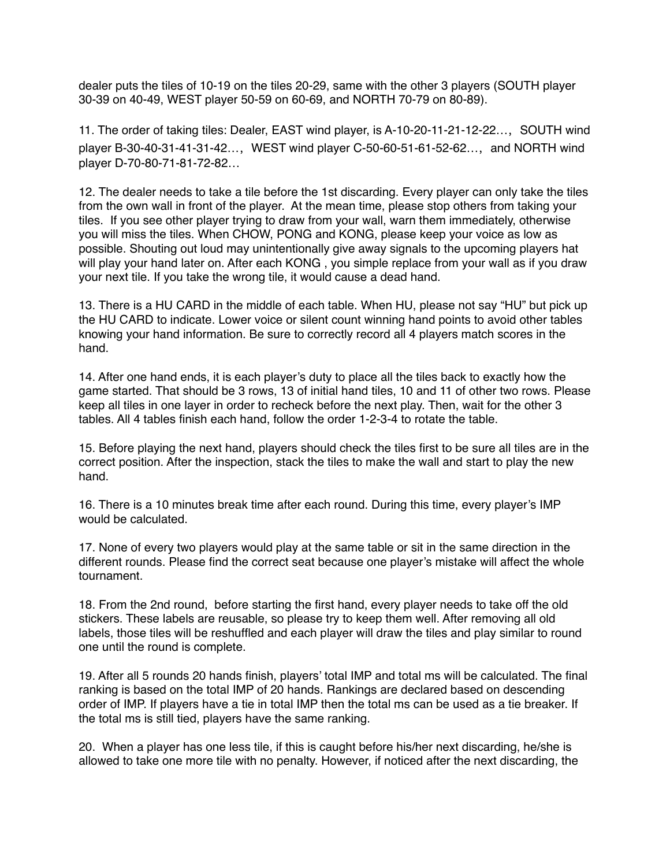dealer puts the tiles of 10-19 on the tiles 20-29, same with the other 3 players (SOUTH player 30-39 on 40-49, WEST player 50-59 on 60-69, and NORTH 70-79 on 80-89).

11. The order of taking tiles: Dealer, EAST wind player, is A-10-20-11-21-12-22..., SOUTH wind player B-30-40-31-41-31-42..., WEST wind player C-50-60-51-61-52-62..., and NORTH wind player D-70-80-71-81-72-82…

12. The dealer needs to take a tile before the 1st discarding. Every player can only take the tiles from the own wall in front of the player. At the mean time, please stop others from taking your tiles. If you see other player trying to draw from your wall, warn them immediately, otherwise you will miss the tiles. When CHOW, PONG and KONG, please keep your voice as low as possible. Shouting out loud may unintentionally give away signals to the upcoming players hat will play your hand later on. After each KONG , you simple replace from your wall as if you draw your next tile. If you take the wrong tile, it would cause a dead hand.

13. There is a HU CARD in the middle of each table. When HU, please not say "HU" but pick up the HU CARD to indicate. Lower voice or silent count winning hand points to avoid other tables knowing your hand information. Be sure to correctly record all 4 players match scores in the hand.

14. After one hand ends, it is each player's duty to place all the tiles back to exactly how the game started. That should be 3 rows, 13 of initial hand tiles, 10 and 11 of other two rows. Please keep all tiles in one layer in order to recheck before the next play. Then, wait for the other 3 tables. All 4 tables finish each hand, follow the order 1-2-3-4 to rotate the table.

15. Before playing the next hand, players should check the tiles first to be sure all tiles are in the correct position. After the inspection, stack the tiles to make the wall and start to play the new hand.

16. There is a 10 minutes break time after each round. During this time, every player's IMP would be calculated.

17. None of every two players would play at the same table or sit in the same direction in the different rounds. Please find the correct seat because one player's mistake will affect the whole tournament.

18. From the 2nd round, before starting the first hand, every player needs to take off the old stickers. These labels are reusable, so please try to keep them well. After removing all old labels, those tiles will be reshuffled and each player will draw the tiles and play similar to round one until the round is complete.

19. After all 5 rounds 20 hands finish, players' total IMP and total ms will be calculated. The final ranking is based on the total IMP of 20 hands. Rankings are declared based on descending order of IMP. If players have a tie in total IMP then the total ms can be used as a tie breaker. If the total ms is still tied, players have the same ranking.

20. When a player has one less tile, if this is caught before his/her next discarding, he/she is allowed to take one more tile with no penalty. However, if noticed after the next discarding, the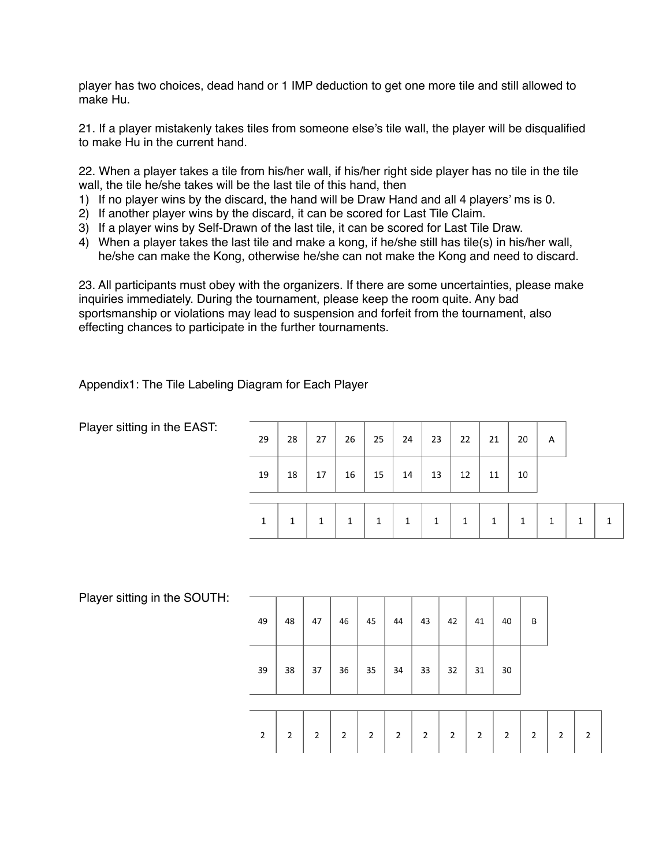player has two choices, dead hand or 1 IMP deduction to get one more tile and still allowed to make Hu.

21. If a player mistakenly takes tiles from someone else's tile wall, the player will be disqualified to make Hu in the current hand.

22. When a player takes a tile from his/her wall, if his/her right side player has no tile in the tile wall, the tile he/she takes will be the last tile of this hand, then

- 1) If no player wins by the discard, the hand will be Draw Hand and all 4 players' ms is 0.
- 2) If another player wins by the discard, it can be scored for Last Tile Claim.
- 3) If a player wins by Self-Drawn of the last tile, it can be scored for Last Tile Draw.
- 4) When a player takes the last tile and make a kong, if he/she still has tile(s) in his/her wall, he/she can make the Kong, otherwise he/she can not make the Kong and need to discard.

23. All participants must obey with the organizers. If there are some uncertainties, please make inquiries immediately. During the tournament, please keep the room quite. Any bad sportsmanship or violations may lead to suspension and forfeit from the tournament, also effecting chances to participate in the further tournaments.

Appendix1: The Tile Labeling Diagram for Each Player

Player sitting in the EAST:

| 29 | 28 | 27 |    | $26$   25 | $\frac{1}{24}$          | 23 | 22 | 21 | 20 | Α |  |
|----|----|----|----|-----------|-------------------------|----|----|----|----|---|--|
| 19 | 18 | 17 | 16 | 15        | $\leftarrow$ 14 $^{-1}$ | 13 | 12 | 11 | 10 |   |  |
| 1  |    |    |    | 1         |                         | 1  |    |    |    |   |  |

Player sitting in the SOUTH:

| 49             | 48             | 47             | 46             | 45             | 44             | 43             | 42             | 41             | 40             | B              |              |                |
|----------------|----------------|----------------|----------------|----------------|----------------|----------------|----------------|----------------|----------------|----------------|--------------|----------------|
| 39             | 38             | 37             | 36             | 35             | 34             | 33             | 32             | 31             | $30\,$         |                |              |                |
|                |                |                |                |                |                |                |                |                |                |                |              |                |
| $\overline{2}$ | $\overline{2}$ | $\overline{2}$ | $\overline{2}$ | $\overline{2}$ | $\overline{2}$ | $\overline{2}$ | $\overline{2}$ | $\overline{2}$ | $\overline{2}$ | $\overline{2}$ | $\mathbf{2}$ | $\overline{2}$ |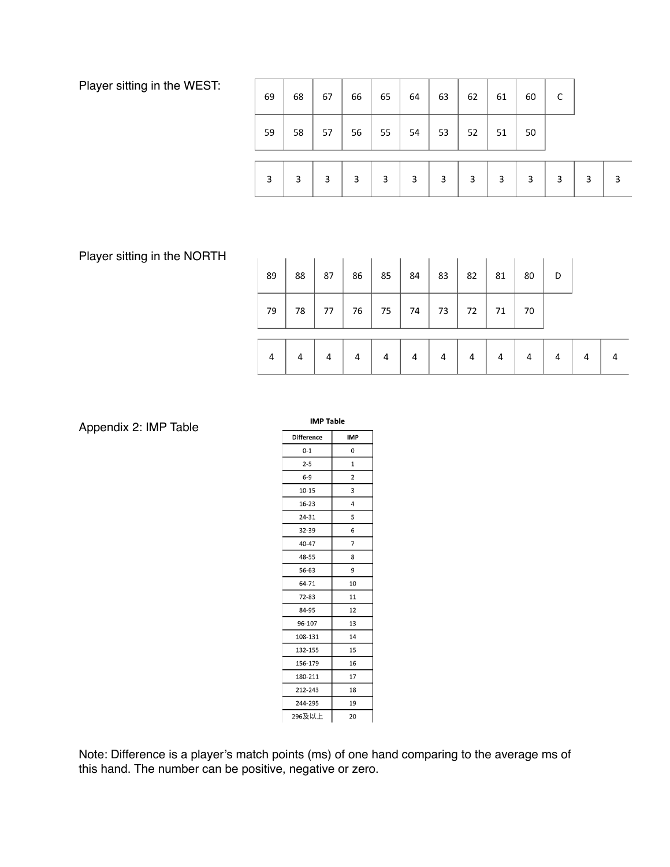Player sitting in the WEST:

| 69 | 68 | 67 | 66 | 65 | 64 | 63 | 62 | 61 | 60 | C |   |   |
|----|----|----|----|----|----|----|----|----|----|---|---|---|
| 59 | 58 | 57 | 56 | 55 | 54 | 53 | 52 | 51 | 50 |   |   |   |
| 3  | 3  | 3  | 3  | 3  | 3  | 3  | 3  | 3  | 3  | 3 | 3 | 3 |

Player sitting in the NORTH

| 89 | 88 | 87 | 86 | 85 | 84 | 83 | 82 | 81 | 80 | D |   |  |
|----|----|----|----|----|----|----|----|----|----|---|---|--|
| 79 | 78 | 77 | 76 | 75 | 74 | 73 | 72 | 71 | 70 |   |   |  |
| 4  | 4  | 4  | 4  |    | 4  | 4  | 4  | 4  | 4  |   | Δ |  |

Appendix 2: IMP Table

| <b>IMP Table</b>  |              |  |  |  |  |  |  |  |  |
|-------------------|--------------|--|--|--|--|--|--|--|--|
| <b>Difference</b> | <b>IMP</b>   |  |  |  |  |  |  |  |  |
| $0 - 1$           | 0            |  |  |  |  |  |  |  |  |
| $2 - 5$           | $\mathbf{1}$ |  |  |  |  |  |  |  |  |
| $6-9$             | 2            |  |  |  |  |  |  |  |  |
| $10 - 15$         | 3            |  |  |  |  |  |  |  |  |
| $16 - 23$         | 4            |  |  |  |  |  |  |  |  |
| 24-31             | 5            |  |  |  |  |  |  |  |  |
| 32-39             | 6            |  |  |  |  |  |  |  |  |
| 40-47             | 7            |  |  |  |  |  |  |  |  |
| 48-55             | 8            |  |  |  |  |  |  |  |  |
| 56-63             | 9            |  |  |  |  |  |  |  |  |
| 64-71             | 10           |  |  |  |  |  |  |  |  |
| 72-83             | 11           |  |  |  |  |  |  |  |  |
| 84-95             | 12           |  |  |  |  |  |  |  |  |
| 96-107            | 13           |  |  |  |  |  |  |  |  |
| 108-131           | 14           |  |  |  |  |  |  |  |  |
| 132-155           | 15           |  |  |  |  |  |  |  |  |
| 156-179           | 16           |  |  |  |  |  |  |  |  |
| 180-211           | 17           |  |  |  |  |  |  |  |  |
| 212-243           | 18           |  |  |  |  |  |  |  |  |
| 244-295           | 19           |  |  |  |  |  |  |  |  |
| 296及以上            | 20           |  |  |  |  |  |  |  |  |

Note: Difference is a player's match points (ms) of one hand comparing to the average ms of this hand. The number can be positive, negative or zero.